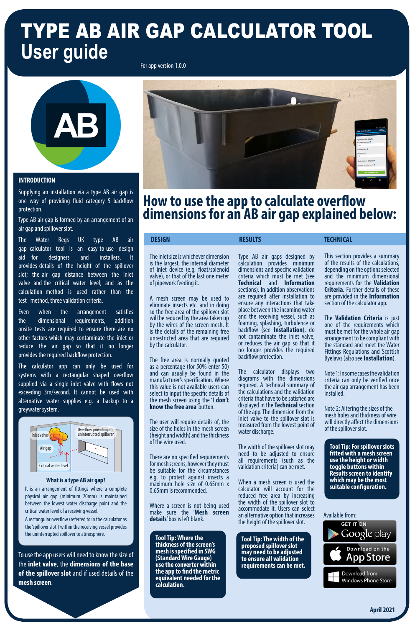# TYPE AB AIR GAP CALCULATOR TOOL **User guide**

The inlet size is whichever dimension is the largest, the internal diameter of inlet device (e.g. float/solenoid valve), or that of the last one meter of pipework feeding it.

A mesh screen may be used to eliminate insects etc. and in doing so the free area of the spillover slot will be reduced by the area taken up by the wires of the screen mesh. It is the details of the remaining free unrestricted area that are required by the calculator.

The free area is normally quoted as a percentage (for 50% enter 50) and can usually be found in the manufacturer's specification. Where this value is not available users can select to input the specific details of the mesh screen using the '**I don't know the free area**' button.

The user will require details of, the size of the holes in the mesh screen (height and width) and the thickness of the wire used.

There are no specified requirements for mesh screens, however they must be suitable for the circumstances e.g. to protect against insects a maximum hole size of 0.65mm x 0.65mm is recommended.

Where a screen is not being used make sure the '**Mesh screen details**' box is left blank.

## **How to use the app to calculate overflow dimensions for an AB air gap explained below:**

For app version 1.0.0



Type AB air gaps designed by calculation provides minimum dimensions and specific validation criteria which must be met (see **Technical** and **Information**  sections). In addition observations are required after installation to ensure any interactions that take place between the incoming water and the receiving vessel, such as foaming, splashing, turbulence or backflow (see **Installation**), do not contaminate the inlet valve, or reduces the air gap so that it no longer provides the required backflow protection.

The calculator displays two diagrams with the dimensions required. A technical summary of the calculations and the validation criteria that have to be satisfied are displayed in the **Technical** section of the app. The dimension from the inlet valve to the spillover slot is measured from the lowest point of water discharge.

The width of the spillover slot may need to be adjusted to ensure all requirements (such as the validation criteria) can be met.

### **DESIGN RESULTS RESULTS TECHNICAL**

When a mesh screen is used the calculator will account for the reduced free area by increasing the width of the spillover slot to accommodate it. Users can select an alternative option that increases the height of the spillover slot.

**Tool Tip: Where the thickness of the screen's mesh is specified in SWG (Standard Wire Gauge) use the converter within the app to find the metric equivalent needed for the calculation.**

#### Available from:





Download from **Windows Phone Store** 

#### **INTRODUCTION**

Supplying an installation via a type AB air gap is one way of providing fluid category 5 backflow protection.

Type AB air gap is formed by an arrangement of an air gap and spillover slot.

The Water Regs UK type AB air gap calculator tool is an easy-to-use design aid for designers and installers. It provides details of the height of the spillover slot; the air gap distance between the inlet valve and the critical water level; and as the calculation method is used rather than the test method, three validation criteria.

Even when the arrangement satisfies the dimensional requirements, addition onsite tests are required to ensure there are no other factors which may contaminate the inlet or reduce the air gap so that it no longer provides the required backflow protection.

The calculator app can only be used for systems with a rectangular shaped overflow supplied via a single inlet valve with flows not exceeding 3m/second. It cannot be used with alternative water supplies e.g. a backup to a greywater system.

To use the app users will need to know the size of the **inlet valve**, the **dimensions of the base of the spillover slot** and if used details of the **mesh screen**.

**Tool Tip: For spillover slots fitted with a mesh screen use the height or width toggle buttons within Results screen to identify which may be the most suitable configuration.**

**Tool Tip: The width of the proposed spillover slot may need to be adjusted to ensure all validation requirements can be met.**

This section provides a summary of the results of the calculations, depending on the options selected and the minimum dimensional requirements for the **Validation Criteria**. Further details of these are provided in the **Information**  section of the calculator app.

The **Validation Criteria** is just one of the requirements which must be met for the whole air gap arrangement to be compliant with the standard and meet the Water Fittings Regulations and Scottish Byelaws (also see **Installation**).

Note 1: In some cases the validation criteria can only be verified once the air gap arrangement has been installed.

Note 2: Altering the sizes of the mesh holes and thickness of wire will directly affect the dimensions of the spillover slot.

#### **What is a type AB air gap?**

It is an arrangement of fittings where a complete physical air gap (minimum 20mm) is maintained between the lowest water discharge point and the critical water level of a receiving vessel.

A rectangular overflow (referred to in the calculator as the 'spillover slot') within the receiving vessel provides the uninterrupted spillover to atmosphere.





Critical water level

**April 2021**